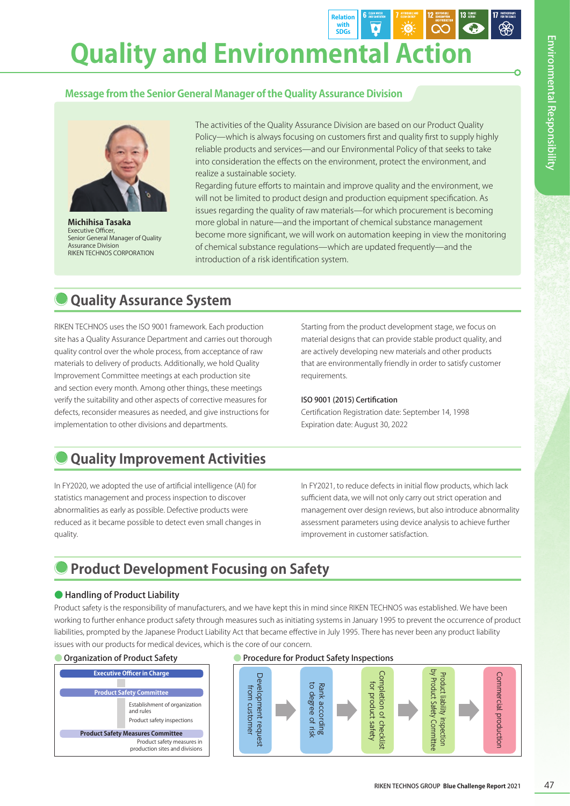**Quality and Environmental Action**

## **Message from the Senior General Manager of the Quality Assurance Division**



**Michihisa Tasaka** Executive Officer, Senior General Manager of Quality Assurance Division RIKEN TECHNOS CORPORATION

The activities of the Quality Assurance Division are based on our Product Quality Policy—which is always focusing on customers first and quality first to supply highly reliable products and services—and our Environmental Policy of that seeks to take into consideration the effects on the environment, protect the environment, and realize a sustainable society.

**Relation with SDGs**

 $\overline{\bullet}$ 

Regarding future efforts to maintain and improve quality and the environment, we will not be limited to product design and production equipment specification. As issues regarding the quality of raw materials—for which procurement is becoming more global in nature—and the important of chemical substance management become more significant, we will work on automation keeping in view the monitoring of chemical substance regulations—which are updated frequently—and the introduction of a risk identification system.

# **Quality Assurance System**

RIKEN TECHNOS uses the ISO 9001 framework. Each production site has a Quality Assurance Department and carries out thorough quality control over the whole process, from acceptance of raw materials to delivery of products. Additionally, we hold Quality Improvement Committee meetings at each production site and section every month. Among other things, these meetings verify the suitability and other aspects of corrective measures for defects, reconsider measures as needed, and give instructions for implementation to other divisions and departments.

Starting from the product development stage, we focus on material designs that can provide stable product quality, and are actively developing new materials and other products that are environmentally friendly in order to satisfy customer requirements.

#### ISO 9001 (2015) Certification

Certification Registration date: September 14, 1998 Expiration date: August 30, 2022

# **Quality Improvement Activities**

In FY2020, we adopted the use of artificial intelligence (AI) for statistics management and process inspection to discover abnormalities as early as possible. Defective products were reduced as it became possible to detect even small changes in quality.

In FY2021, to reduce defects in initial flow products, which lack sufficient data, we will not only carry out strict operation and management over design reviews, but also introduce abnormality assessment parameters using device analysis to achieve further improvement in customer satisfaction.

# **Product Development Focusing on Safety**

### ● Handling of Product Liability

Product safety is the responsibility of manufacturers, and we have kept this in mind since RIKEN TECHNOS was established. We have been working to further enhance product safety through measures such as initiating systems in January 1995 to prevent the occurrence of product liabilities, prompted by the Japanese Product Liability Act that became effective in July 1995. There has never been any product liability issues with our products for medical devices, which is the core of our concern.



#### ● Organization of Product Safety **● Procedure for Product Safety Inspections**

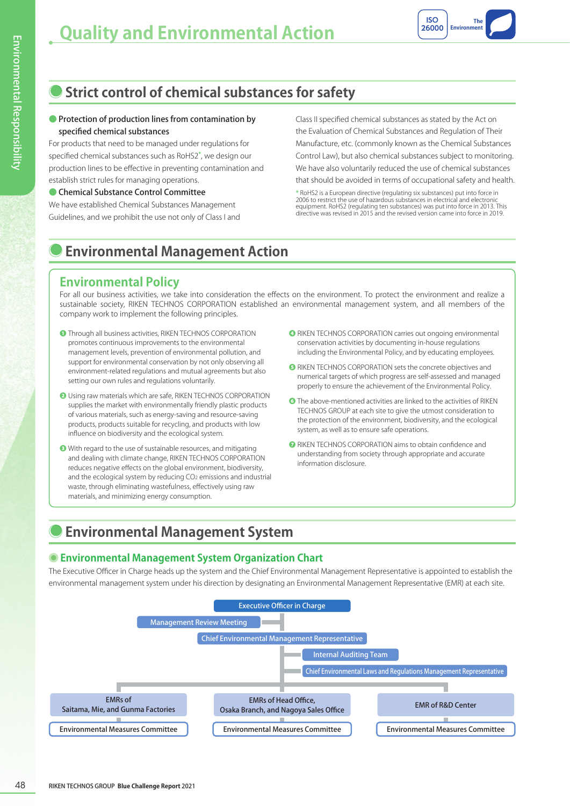

# **Strict control of chemical substances for safety**

#### ● Protection of production lines from contamination by specified chemical substances

For products that need to be managed under regulations for specified chemical substances such as RoHS2**\***, we design our production lines to be effective in preventing contamination and establish strict rules for managing operations.

#### ● Chemical Substance Control Committee

We have established Chemical Substances Management Guidelines, and we prohibit the use not only of Class I and Class II specified chemical substances as stated by the Act on the Evaluation of Chemical Substances and Regulation of Their Manufacture, etc. (commonly known as the Chemical Substances Control Law), but also chemical substances subject to monitoring. We have also voluntarily reduced the use of chemical substances that should be avoided in terms of occupational safety and health.

**\*** RoHS2 is a European directive (regulating six substances) put into force in 2006 to restrict the use of hazardous substances in electrical and electronic equipment. RoHS2 (regulating ten substances) was put into force in 2013. This directive was revised in 2015 and the revised version came into force in 2019.

# **Environmental Management Action**

# **Environmental Policy**

For all our business activities, we take into consideration the effects on the environment. To protect the environment and realize a sustainable society, RIKEN TECHNOS CORPORATION established an environmental management system, and all members of the company work to implement the following principles.

- **❶** Through all business activities, RIKEN TECHNOS CORPORATION promotes continuous improvements to the environmental management levels, prevention of environmental pollution, and support for environmental conservation by not only observing all environment-related regulations and mutual agreements but also setting our own rules and regulations voluntarily.
- **❷** Using raw materials which are safe, RIKEN TECHNOS CORPORATION supplies the market with environmentally friendly plastic products of various materials, such as energy-saving and resource-saving products, products suitable for recycling, and products with low influence on biodiversity and the ecological system.
- **❸** With regard to the use of sustainable resources, and mitigating and dealing with climate change, RIKEN TECHNOS CORPORATION reduces negative effects on the global environment, biodiversity, and the ecological system by reducing CO2 emissions and industrial waste, through eliminating wastefulness, effectively using raw materials, and minimizing energy consumption.
- **❹** RIKEN TECHNOS CORPORATION carries out ongoing environmental conservation activities by documenting in-house regulations including the Environmental Policy, and by educating employees.
- **❺** RIKEN TECHNOS CORPORATION sets the concrete objectives and numerical targets of which progress are self-assessed and managed properly to ensure the achievement of the Environmental Policy.
- **❻** The above-mentioned activities are linked to the activities of RIKEN TECHNOS GROUP at each site to give the utmost consideration to the protection of the environment, biodiversity, and the ecological system, as well as to ensure safe operations.
- **❼** RIKEN TECHNOS CORPORATION aims to obtain confidence and understanding from society through appropriate and accurate information disclosure.

# **Environmental Management System**

## **Environmental Management System Organization Chart**

The Executive Officer in Charge heads up the system and the Chief Environmental Management Representative is appointed to establish the environmental management system under his direction by designating an Environmental Management Representative (EMR) at each site.